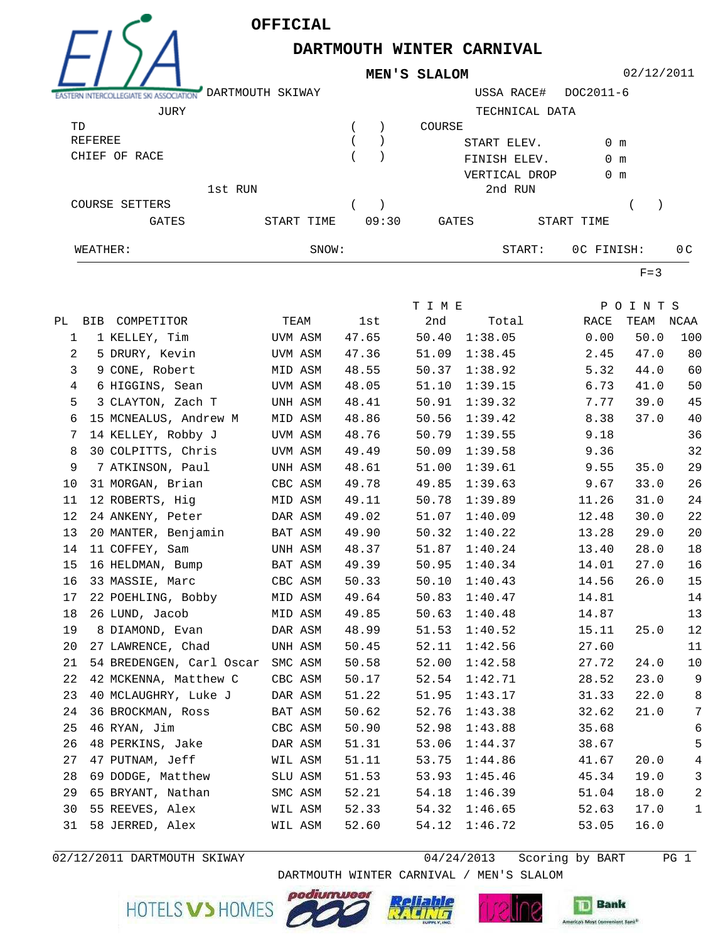**OFFICIAL**

 $E/SA$ 

## **DARTMOUTH WINTER CARNIVAL**

**MEN'S SLALOM**

02/12/2011

| --                    | DARTMOUTH SKIWAY |       |       |              | USSA RACE#     | DOC2011-6     |                |
|-----------------------|------------------|-------|-------|--------------|----------------|---------------|----------------|
| JURY                  |                  |       |       |              | TECHNICAL DATA |               |                |
| TD                    |                  |       |       | COURSE       |                |               |                |
| REFEREE               |                  |       |       | START ELEV.  |                | 0 m           |                |
| CHIEF OF RACE         |                  |       |       | FINISH ELEV. |                | $0 \text{ m}$ |                |
|                       |                  |       |       |              | VERTICAL DROP  | $0 \text{ m}$ |                |
|                       | 1st RUN          |       |       |              | 2nd RUN        |               |                |
| <b>COURSE SETTERS</b> |                  |       |       |              |                |               |                |
| <b>GATES</b>          | START TIME       |       | 09:30 | <b>GATES</b> |                | START TIME    |                |
| WEATHER:              |                  | SNOW: |       |              | START:         | OC FINISH:    | 0 <sup>C</sup> |

 $F=3$ 

|                |                                  |         |       | T I M E |         |       | POINTS    |                |
|----------------|----------------------------------|---------|-------|---------|---------|-------|-----------|----------------|
|                | PL BIB COMPETITOR                | TEAM    | lst   | 2nd     | Total   | RACE  | TEAM NCAA |                |
| 1              | 1 KELLEY, Tim                    | UVM ASM | 47.65 | 50.40   | 1:38.05 | 0.00  | 50.0      | 100            |
| $\overline{a}$ | 5 DRURY, Kevin                   | UVM ASM | 47.36 | 51.09   | 1:38.45 | 2.45  | 47.0      | 80             |
| 3              | 9 CONE, Robert                   | MID ASM | 48.55 | 50.37   | 1:38.92 | 5.32  | 44.0      | 60             |
| 4              | 6 HIGGINS, Sean                  | UVM ASM | 48.05 | 51.10   | 1:39.15 | 6.73  | 41.0      | 50             |
| 5              | 3 CLAYTON, Zach T                | UNH ASM | 48.41 | 50.91   | 1:39.32 | 7.77  | 39.0      | 45             |
| 6              | 15 MCNEALUS, Andrew M            | MID ASM | 48.86 | 50.56   | 1:39.42 | 8.38  | 37.0      | 40             |
| 7              | 14 KELLEY, Robby J               | UVM ASM | 48.76 | 50.79   | 1:39.55 | 9.18  |           | 36             |
| 8              | 30 COLPITTS, Chris               | UVM ASM | 49.49 | 50.09   | 1:39.58 | 9.36  |           | 32             |
| 9              | 7 ATKINSON, Paul                 | UNH ASM | 48.61 | 51.00   | 1:39.61 | 9.55  | 35.0      | 29             |
| 10             | 31 MORGAN, Brian                 | CBC ASM | 49.78 | 49.85   | 1:39.63 | 9.67  | 33.0      | 26             |
| 11             | 12 ROBERTS, Hig                  | MID ASM | 49.11 | 50.78   | 1:39.89 | 11.26 | 31.0      | 24             |
| 12             | 24 ANKENY, Peter                 | DAR ASM | 49.02 | 51.07   | 1:40.09 | 12.48 | 30.0      | 22             |
| 13             | 20 MANTER, Benjamin              | BAT ASM | 49.90 | 50.32   | 1:40.22 | 13.28 | 29.0      | 20             |
| 14             | 11 COFFEY, Sam                   | UNH ASM | 48.37 | 51.87   | 1:40.24 | 13.40 | 28.0      | 18             |
| 15             | 16 HELDMAN, Bump                 | BAT ASM | 49.39 | 50.95   | 1:40.34 | 14.01 | 27.0      | 16             |
| 16             | 33 MASSIE, Marc                  | CBC ASM | 50.33 | 50.10   | 1:40.43 | 14.56 | 26.0      | 15             |
| 17             | 22 POEHLING, Bobby               | MID ASM | 49.64 | 50.83   | 1:40.47 | 14.81 |           | 14             |
| 18             | 26 LUND, Jacob                   | MID ASM | 49.85 | 50.63   | 1:40.48 | 14.87 |           | 13             |
| 19             | 8 DIAMOND, Evan                  | DAR ASM | 48.99 | 51.53   | 1:40.52 | 15.11 | 25.0      | 12             |
| 20             | 27 LAWRENCE, Chad                | UNH ASM | 50.45 | 52.11   | 1:42.56 | 27.60 |           | 11             |
| 21             | 54 BREDENGEN, Carl Oscar SMC ASM |         | 50.58 | 52.00   | 1:42.58 | 27.72 | 24.0      | 10             |
| 22             | 42 MCKENNA, Matthew C            | CBC ASM | 50.17 | 52.54   | 1:42.71 | 28.52 | 23.0      | $\mathsf 9$    |
| 23             | 40 MCLAUGHRY, Luke J             | DAR ASM | 51.22 | 51.95   | 1:43.17 | 31.33 | 22.0      | $\,8\,$        |
| 24             | 36 BROCKMAN, Ross                | BAT ASM | 50.62 | 52.76   | 1:43.38 | 32.62 | 21.0      | 7              |
| 25             | 46 RYAN, Jim                     | CBC ASM | 50.90 | 52.98   | 1:43.88 | 35.68 |           | 6              |
| 26             | 48 PERKINS, Jake                 | DAR ASM | 51.31 | 53.06   | 1:44.37 | 38.67 |           | 5              |
| 27             | 47 PUTNAM, Jeff                  | WIL ASM | 51.11 | 53.75   | 1:44.86 | 41.67 | 20.0      | $\overline{4}$ |
| 28             | 69 DODGE, Matthew                | SLU ASM | 51.53 | 53.93   | 1:45.46 | 45.34 | 19.0      | $\mathfrak{Z}$ |
| 29             | 65 BRYANT, Nathan                | SMC ASM | 52.21 | 54.18   | 1:46.39 | 51.04 | 18.0      | 2              |
| 30             | 55 REEVES, Alex                  | WIL ASM | 52.33 | 54.32   | 1:46.65 | 52.63 | 17.0      | $\mathbf 1$    |
| 31             | 58 JERRED, Alex                  | WIL ASM | 52.60 | 54.12   | 1:46.72 | 53.05 | 16.0      |                |
|                |                                  |         |       |         |         |       |           |                |

02/12/2011 DARTMOUTH SKIWAY 64/24/2013 Scoring by BART PG 1

**Bank**